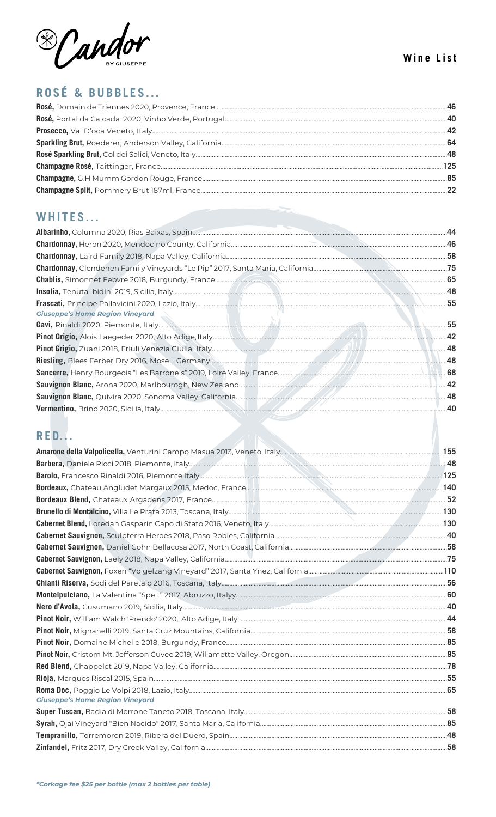

# ROSÉ & BUBBLES...

# WHITES...

| <b>Giuseppe's Home Region Vineyard</b> | .55 |
|----------------------------------------|-----|
|                                        | .55 |
|                                        |     |
|                                        |     |
|                                        |     |
|                                        |     |
|                                        |     |
|                                        |     |
|                                        |     |
|                                        |     |

# RED.

| <b>Giuseppe's Home Region Vineyard</b> |  |
|----------------------------------------|--|
|                                        |  |
|                                        |  |
|                                        |  |
|                                        |  |